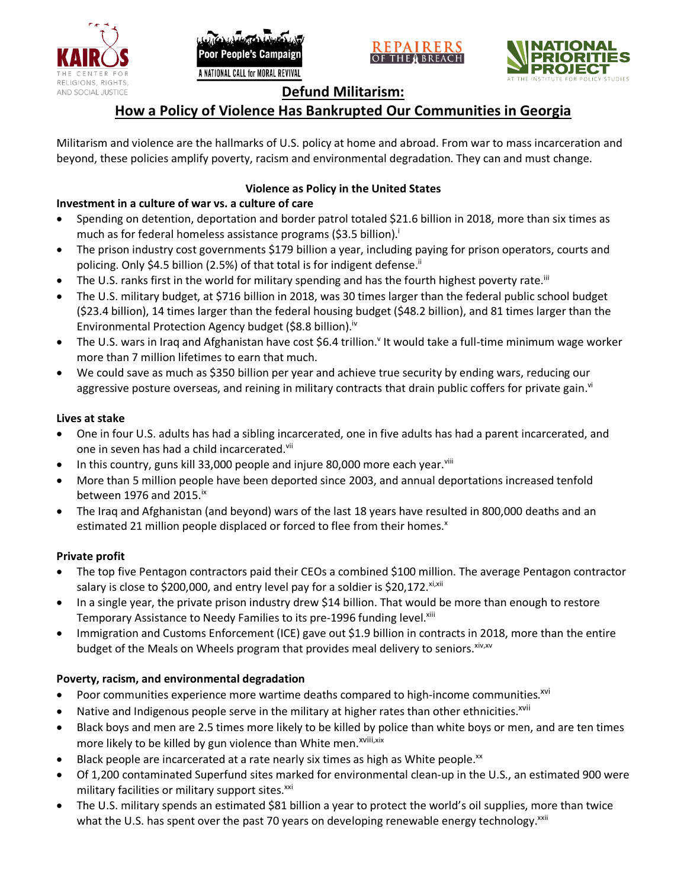





## **Defund Militarism:**

# **How a Policy of Violence Has Bankrupted Our Communities in Georgia**

Militarism and violence are the hallmarks of U.S. policy at home and abroad. From war to mass incarceration and beyond, these policies amplify poverty, racism and environmental degradation. They can and must change.

### **Violence as Policy in the United States**

### **Investment in a culture of war vs. a culture of care**

- Spending on detention, deportation and border patrol totaled \$21.6 billion in 2018, more than six times as much as for federal homeless assistance programs (\$3.5 billion).<sup>i</sup>
- The prison industry cost governments \$179 billion a year, including paying for prison operators, courts and policing. Only \$4.5 billion (2.5%) of that total is for indigent defense.<sup>ii</sup>
- The U.S. ranks first in the world for military spending and has the fourth highest poverty rate.<sup>iii</sup>
- The U.S. military budget, at \$716 billion in 2018, was 30 times larger than the federal public school budget (\$23.4 billion), 14 times larger than the federal housing budget (\$48.2 billion), and 81 times larger than the Environmental Protection Agency budget (\$8.8 billion).<sup>iv</sup>
- The U.S. wars in Iraq and Afghanistan have cost \$6.4 trillion.<sup>v</sup> It would take a full-time minimum wage worker more than 7 million lifetimes to earn that much.
- We could save as much as \$350 billion per year and achieve true security by ending wars, reducing our aggressive posture overseas, and reining in military contracts that drain public coffers for private gain.<sup>vi</sup>

### **Lives at stake**

- One in four U.S. adults has had a sibling incarcerated, one in five adults has had a parent incarcerated, and one in seven has had a child incarcerated.vii
- In this country, guns kill 33,000 people and injure 80,000 more each year. $v_{\text{lin}}$
- More than 5 million people have been deported since 2003, and annual deportations increased tenfold between 1976 and 2015. $\mathrm{i}$ <sup>x</sup>
- The Iraq and Afghanistan (and beyond) wars of the last 18 years have resulted in 800,000 deaths and an estimated 21 million people displaced or forced to flee from their homes.<sup>x</sup>

#### **Private profit**

- The top five Pentagon contractors paid their CEOs a combined \$100 million. The average Pentagon contractor salary is close to \$200,000, and entry level pay for a soldier is \$20,172. xi,xii
- In a single year, the private prison industry drew \$14 billion. That would be more than enough to restore Temporary Assistance to Needy Families to its pre-1996 funding level.<sup>xiii</sup>
- Immigration and Customs Enforcement (ICE) gave out \$1.9 billion in contracts in 2018, more than the entire budget of the Meals on Wheels program that provides meal delivery to seniors. Xiv, XV

### **Poverty, racism, and environmental degradation**

- Poor communities experience more wartime deaths compared to high-income communities.<sup>xvi</sup>
- Native and Indigenous people serve in the military at higher rates than other ethnicities.<sup>xvii</sup>
- Black boys and men are 2.5 times more likely to be killed by police than white boys or men, and are ten times more likely to be killed by gun violence than White men.<sup>xviii,xix</sup>
- Black people are incarcerated at a rate nearly six times as high as White people.<sup>xx</sup>
- Of 1,200 contaminated Superfund sites marked for environmental clean-up in the U.S., an estimated 900 were military facilities or military support sites.<sup>xxi</sup>
- The U.S. military spends an estimated \$81 billion a year to protect the world's oil supplies, more than twice what the U.S. has spent over the past 70 years on developing renewable energy technology.<sup>xxii</sup>